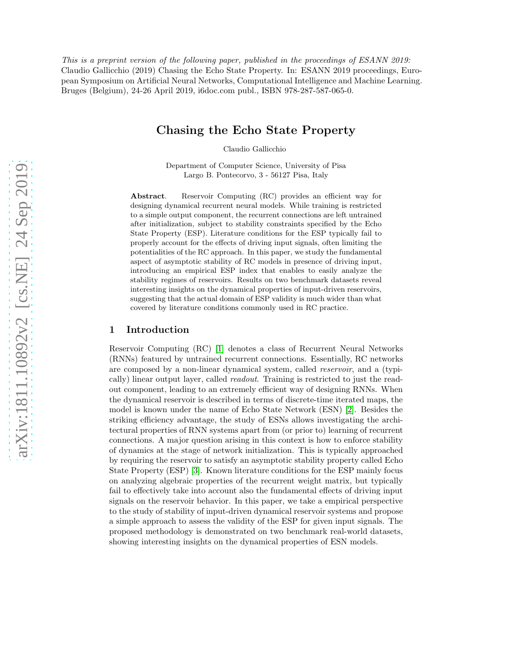This is a preprint version of the following paper, published in the proceedings of ESANN 2019: Claudio Gallicchio (2019) Chasing the Echo State Property. In: ESANN 2019 proceedings, European Symposium on Artificial Neural Networks, Computational Intelligence and Machine Learning. Bruges (Belgium), 24-26 April 2019, i6doc.com publ., ISBN 978-287-587-065-0.

# Chasing the Echo State Property

Claudio Gallicchio

Department of Computer Science, University of Pisa Largo B. Pontecorvo, 3 - 56127 Pisa, Italy

Abstract. Reservoir Computing (RC) provides an efficient way for designing dynamical recurrent neural models. While training is restricted to a simple output component, the recurrent connections are left untrained after initialization, subject to stability constraints specified by the Echo State Property (ESP). Literature conditions for the ESP typically fail to properly account for the effects of driving input signals, often limiting the potentialities of the RC approach. In this paper, we study the fundamental aspect of asymptotic stability of RC models in presence of driving input, introducing an empirical ESP index that enables to easily analyze the stability regimes of reservoirs. Results on two benchmark datasets reveal interesting insights on the dynamical properties of input-driven reservoirs, suggesting that the actual domain of ESP validity is much wider than what covered by literature conditions commonly used in RC practice.

# 1 Introduction

Reservoir Computing (RC) [\[1\]](#page-5-0) denotes a class of Recurrent Neural Networks (RNNs) featured by untrained recurrent connections. Essentially, RC networks are composed by a non-linear dynamical system, called *reservoir*, and a (typically) linear output layer, called readout. Training is restricted to just the readout component, leading to an extremely efficient way of designing RNNs. When the dynamical reservoir is described in terms of discrete-time iterated maps, the model is known under the name of Echo State Network (ESN) [\[2\]](#page-5-1). Besides the striking efficiency advantage, the study of ESNs allows investigating the architectural properties of RNN systems apart from (or prior to) learning of recurrent connections. A major question arising in this context is how to enforce stability of dynamics at the stage of network initialization. This is typically approached by requiring the reservoir to satisfy an asymptotic stability property called Echo State Property (ESP) [\[3\]](#page-5-2). Known literature conditions for the ESP mainly focus on analyzing algebraic properties of the recurrent weight matrix, but typically fail to effectively take into account also the fundamental effects of driving input signals on the reservoir behavior. In this paper, we take a empirical perspective to the study of stability of input-driven dynamical reservoir systems and propose a simple approach to assess the validity of the ESP for given input signals. The proposed methodology is demonstrated on two benchmark real-world datasets, showing interesting insights on the dynamical properties of ESN models.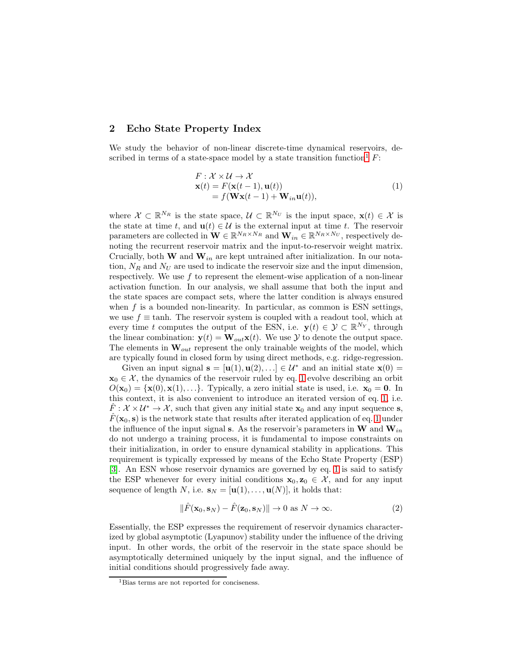# 2 Echo State Property Index

We study the behavior of non-linear discrete-time dynamical reservoirs, de-scribed in terms of a state-space model by a state transition function<sup>[1](#page-1-0)</sup>  $F$ :

<span id="page-1-1"></span>
$$
F: \mathcal{X} \times \mathcal{U} \to \mathcal{X}
$$
  
\n
$$
\mathbf{x}(t) = F(\mathbf{x}(t-1), \mathbf{u}(t))
$$
  
\n
$$
= f(\mathbf{W}\mathbf{x}(t-1) + \mathbf{W}_{in}\mathbf{u}(t)),
$$
\n(1)

where  $\mathcal{X} \subset \mathbb{R}^{N_R}$  is the state space,  $\mathcal{U} \subset \mathbb{R}^{N_U}$  is the input space,  $\mathbf{x}(t) \in \mathcal{X}$  is the state at time t, and  $\mathbf{u}(t) \in \mathcal{U}$  is the external input at time t. The reservoir parameters are collected in  $\mathbf{W} \in \mathbb{R}^{N_R \times N_R}$  and  $\mathbf{W}_{in} \in \mathbb{R}^{N_R \times N_U}$ , respectively denoting the recurrent reservoir matrix and the input-to-reservoir weight matrix. Crucially, both **W** and  $W_{in}$  are kept untrained after initialization. In our notation,  $N_R$  and  $N_U$  are used to indicate the reservoir size and the input dimension, respectively. We use  $f$  to represent the element-wise application of a non-linear activation function. In our analysis, we shall assume that both the input and the state spaces are compact sets, where the latter condition is always ensured when  $f$  is a bounded non-linearity. In particular, as common is ESN settings, we use  $f \equiv \tanh$ . The reservoir system is coupled with a readout tool, which at every time t computes the output of the ESN, i.e.  $\mathbf{y}(t) \in \mathcal{Y} \subset \mathbb{R}^{N_Y}$ , through the linear combination:  $\mathbf{y}(t) = \mathbf{W}_{out} \mathbf{x}(t)$ . We use  $\mathcal{Y}$  to denote the output space. The elements in  $\mathbf{W}_{out}$  represent the only trainable weights of the model, which are typically found in closed form by using direct methods, e.g. ridge-regression.

Given an input signal  $\mathbf{s} = [\mathbf{u}(1), \mathbf{u}(2), \ldots] \in \mathcal{U}^*$  and an initial state  $\mathbf{x}(0) =$  $x_0 \in \mathcal{X}$ , the dynamics of the reservoir ruled by eq. [1](#page-1-1) evolve describing an orbit  $O(\mathbf{x}_0) = {\mathbf{x}(0), \mathbf{x}(1), \ldots}$ . Typically, a zero initial state is used, i.e.  $\mathbf{x}_0 = \mathbf{0}$ . In this context, it is also convenient to introduce an iterated version of eq. [1,](#page-1-1) i.e.  $\hat{F}: \mathcal{X} \times \mathcal{U}^* \to \mathcal{X}$ , such that given any initial state  $\mathbf{x}_0$  and any input sequence s,  $\hat{F}(\mathbf{x}_0, \mathbf{s})$  is the network state that results after iterated application of eq. [1](#page-1-1) under the influence of the input signal s. As the reservoir's parameters in W and  $W_{in}$ do not undergo a training process, it is fundamental to impose constraints on their initialization, in order to ensure dynamical stability in applications. This requirement is typically expressed by means of the Echo State Property (ESP) [\[3\]](#page-5-2). An ESN whose reservoir dynamics are governed by eq. [1](#page-1-1) is said to satisfy the ESP whenever for every initial conditions  $x_0, z_0 \in \mathcal{X}$ , and for any input sequence of length N, i.e.  $\mathbf{s}_N = [\mathbf{u}(1), \dots, \mathbf{u}(N)]$ , it holds that:

$$
\|\hat{F}(\mathbf{x}_0, \mathbf{s}_N) - \hat{F}(\mathbf{z}_0, \mathbf{s}_N)\| \to 0 \text{ as } N \to \infty.
$$
 (2)

Essentially, the ESP expresses the requirement of reservoir dynamics characterized by global asymptotic (Lyapunov) stability under the influence of the driving input. In other words, the orbit of the reservoir in the state space should be asymptotically determined uniquely by the input signal, and the influence of initial conditions should progressively fade away.

<span id="page-1-0"></span><sup>&</sup>lt;sup>1</sup>Bias terms are not reported for conciseness.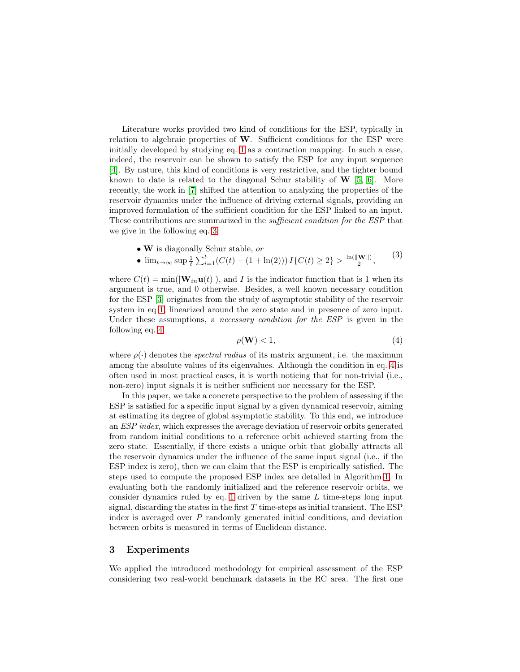Literature works provided two kind of conditions for the ESP, typically in relation to algebraic properties of  $W$ . Sufficient conditions for the ESP were initially developed by studying eq. [1](#page-1-1) as a contraction mapping. In such a case, indeed, the reservoir can be shown to satisfy the ESP for any input sequence [\[4\]](#page-5-3). By nature, this kind of conditions is very restrictive, and the tighter bound known to date is related to the diagonal Schur stability of  $W$  [\[5,](#page-5-4) [6\]](#page-5-5). More recently, the work in [\[7\]](#page-5-6) shifted the attention to analyzing the properties of the reservoir dynamics under the influence of driving external signals, providing an improved formulation of the sufficient condition for the ESP linked to an input. These contributions are summarized in the *sufficient condition for the ESP* that we give in the following eq. [3:](#page-2-0)

- W is diagonally Schur stable, or
- <span id="page-2-0"></span>•  $\lim_{t\to\infty} \sup \frac{1}{t} \sum_{i=1}^t (C(t) - (1 + \ln(2))) I\{C(t) \geq 2\} > \frac{\ln(\|\mathbf{W}\|)}{2}$  $\frac{\mathbf{w} \parallel}{2}$ , (3)

where  $C(t) = min(|\mathbf{W}_{in} \mathbf{u}(t)|)$ , and I is the indicator function that is 1 when its argument is true, and 0 otherwise. Besides, a well known necessary condition for the ESP [\[3\]](#page-5-2) originates from the study of asymptotic stability of the reservoir system in eq [1,](#page-1-1) linearized around the zero state and in presence of zero input. Under these assumptions, a *necessary condition for the ESP* is given in the following eq. [4:](#page-2-1)

<span id="page-2-1"></span>
$$
\rho(\mathbf{W}) < 1,\tag{4}
$$

where  $\rho(\cdot)$  denotes the *spectral radius* of its matrix argument, i.e. the maximum among the absolute values of its eigenvalues. Although the condition in eq. [4](#page-2-1) is often used in most practical cases, it is worth noticing that for non-trivial (i.e., non-zero) input signals it is neither sufficient nor necessary for the ESP.

In this paper, we take a concrete perspective to the problem of assessing if the ESP is satisfied for a specific input signal by a given dynamical reservoir, aiming at estimating its degree of global asymptotic stability. To this end, we introduce an ESP index, which expresses the average deviation of reservoir orbits generated from random initial conditions to a reference orbit achieved starting from the zero state. Essentially, if there exists a unique orbit that globally attracts all the reservoir dynamics under the influence of the same input signal (i.e., if the ESP index is zero), then we can claim that the ESP is empirically satisfied. The steps used to compute the proposed ESP index are detailed in Algorithm [1.](#page-3-0) In evaluating both the randomly initialized and the reference reservoir orbits, we consider dynamics ruled by eq. [1](#page-1-1) driven by the same  $L$  time-steps long input signal, discarding the states in the first  $T$  time-steps as initial transient. The ESP index is averaged over  $P$  randomly generated initial conditions, and deviation between orbits is measured in terms of Euclidean distance.

## 3 Experiments

We applied the introduced methodology for empirical assessment of the ESP considering two real-world benchmark datasets in the RC area. The first one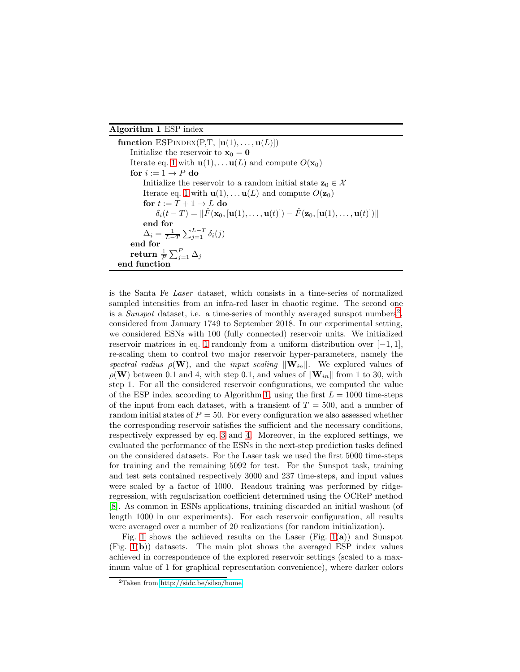#### <span id="page-3-0"></span>Algorithm 1 ESP index

function  $ESPINDEX(P,T, [u(1),...,u(L)])$ Initialize the reservoir to  $\mathbf{x}_0 = \mathbf{0}$ Iterate eq. [1](#page-1-1) with  $\mathbf{u}(1), \dots \mathbf{u}(L)$  and compute  $O(\mathbf{x}_0)$ for  $i := 1 \rightarrow P$  do Initialize the reservoir to a random initial state  $z_0 \in \mathcal{X}$ Iterate eq. [1](#page-1-1) with  $\mathbf{u}(1), \dots \mathbf{u}(L)$  and compute  $O(\mathbf{z}_0)$ for  $t := T + 1 \rightarrow L$  do  $\delta_i(t - T) = ||\hat{F}(\mathbf{x}_0, [\mathbf{u}(1), \dots, \mathbf{u}(t)]) - \hat{F}(\mathbf{z}_0, [\mathbf{u}(1), \dots, \mathbf{u}(t)])||$ end for  $\Delta_i = \frac{1}{L-T} \sum_{j=1}^{L-T} \delta_i(j)$ end for return  $\frac{1}{P}\sum_{j=1}^P\Delta_j$ end function

is the Santa Fe Laser dataset, which consists in a time-series of normalized sampled intensities from an infra-red laser in chaotic regime. The second one is a Sunspot dataset, i.e. a time-series of monthly averaged sunspot numbers<sup>[2](#page-3-1)</sup>, considered from January 1749 to September 2018. In our experimental setting, we considered ESNs with 100 (fully connected) reservoir units. We initialized reservoir matrices in eq. [1](#page-1-1) randomly from a uniform distribution over  $[-1, 1]$ , re-scaling them to control two major reservoir hyper-parameters, namely the spectral radius  $\rho(\mathbf{W})$ , and the input scaling  $\|\mathbf{W}_{in}\|$ . We explored values of  $\rho(\mathbf{W})$  between 0.1 and 4, with step 0.1, and values of  $\|\mathbf{W}_{in}\|$  from 1 to 30, with step 1. For all the considered reservoir configurations, we computed the value of the ESP index according to Algorithm [1,](#page-3-0) using the first  $L = 1000$  time-steps of the input from each dataset, with a transient of  $T = 500$ , and a number of random initial states of  $P = 50$ . For every configuration we also assessed whether the corresponding reservoir satisfies the sufficient and the necessary conditions, respectively expressed by eq. [3](#page-2-0) and [4.](#page-2-1) Moreover, in the explored settings, we evaluated the performance of the ESNs in the next-step prediction tasks defined on the considered datasets. For the Laser task we used the first 5000 time-steps for training and the remaining 5092 for test. For the Sunspot task, training and test sets contained respectively 3000 and 237 time-steps, and input values were scaled by a factor of 1000. Readout training was performed by ridgeregression, with regularization coefficient determined using the OCReP method [\[8\]](#page-5-7). As common in ESNs applications, training discarded an initial washout (of length 1000 in our experiments). For each reservoir configuration, all results were averaged over a number of 20 realizations (for random initialization).

Fig. [1](#page-4-0) shows the achieved results on the Laser (Fig.  $1(a)$ ) and Sunspot (Fig. [1\(](#page-4-0)b)) datasets. The main plot shows the averaged ESP index values achieved in correspondence of the explored reservoir settings (scaled to a maximum value of 1 for graphical representation convenience), where darker colors

<span id="page-3-1"></span><sup>2</sup>Taken from [http://sidc.be/silso/home.](http://sidc.be/silso/home)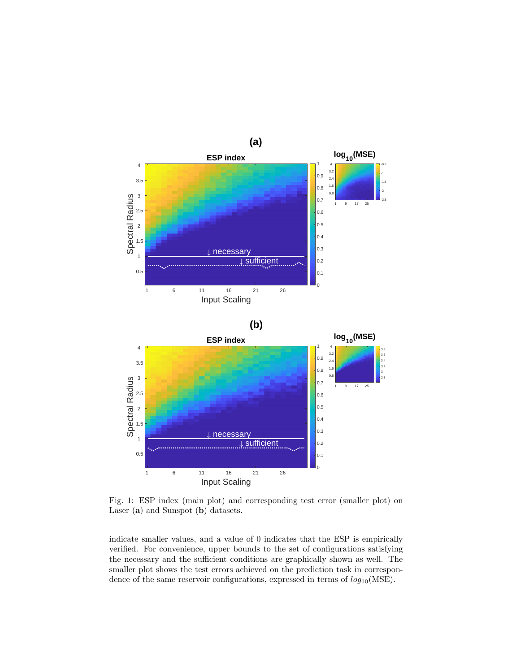<span id="page-4-0"></span>

Fig. 1: ESP index (main plot) and corresponding test error (smaller plot) on Laser (a) and Sunspot (b) datasets.

indicate smaller values, and a value of 0 indicates that the ESP is empirically verified. For convenience, upper bounds to the set of configurations satisfying the necessary and the sufficient conditions are graphically shown as well. The smaller plot shows the test errors achieved on the prediction task in correspondence of the same reservoir configurations, expressed in terms of  $log_{10}(MSE)$ .